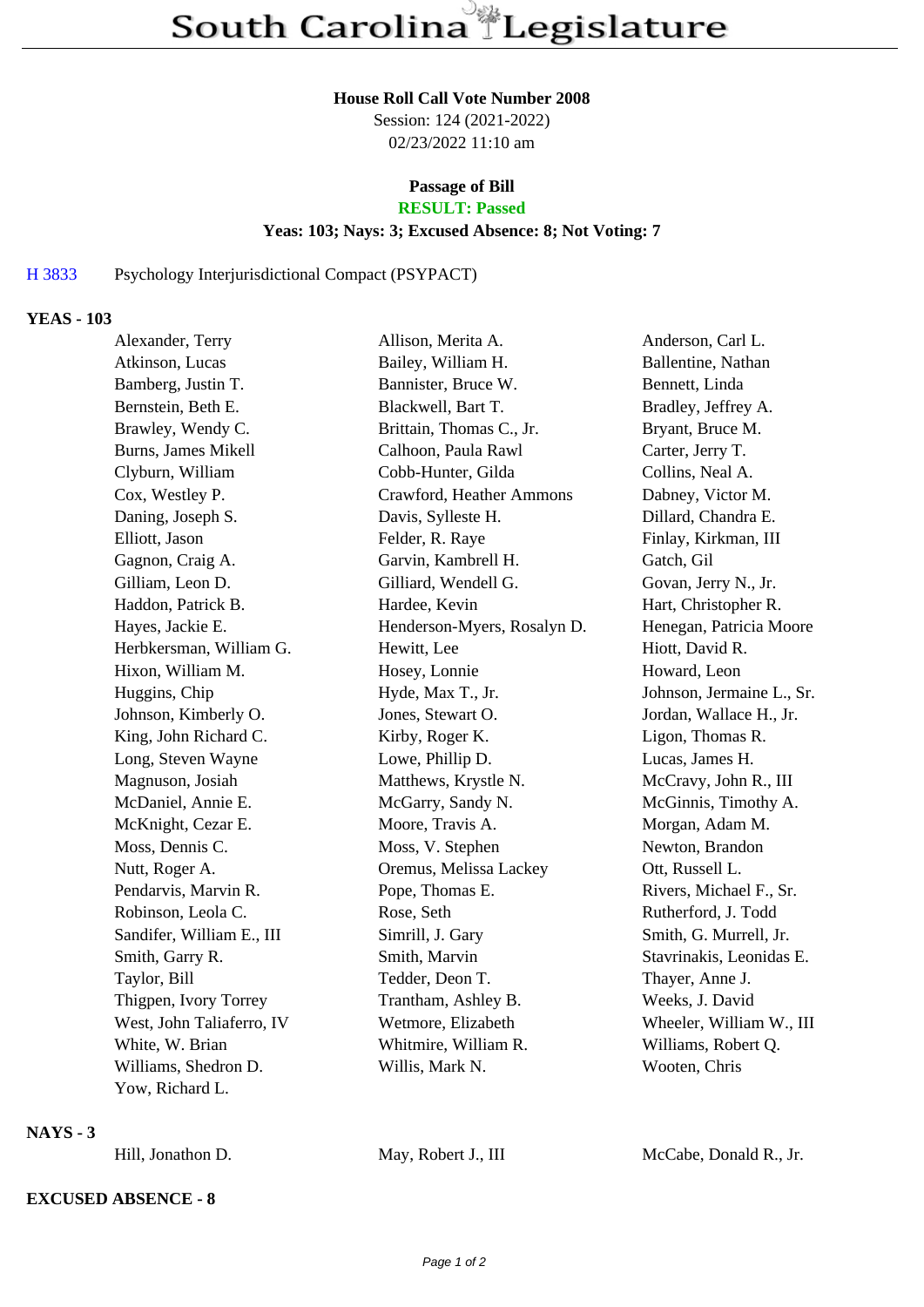#### **House Roll Call Vote Number 2008**

Session: 124 (2021-2022) 02/23/2022 11:10 am

# **Passage of Bill**

# **RESULT: Passed**

### **Yeas: 103; Nays: 3; Excused Absence: 8; Not Voting: 7**

## H 3833 Psychology Interjurisdictional Compact (PSYPACT)

#### **YEAS - 103**

| Alexander, Terry          | Allison, Merita A.          | Anderson, Carl L.         |
|---------------------------|-----------------------------|---------------------------|
| Atkinson, Lucas           | Bailey, William H.          | Ballentine, Nathan        |
| Bamberg, Justin T.        | Bannister, Bruce W.         | Bennett, Linda            |
| Bernstein, Beth E.        | Blackwell, Bart T.          | Bradley, Jeffrey A.       |
| Brawley, Wendy C.         | Brittain, Thomas C., Jr.    | Bryant, Bruce M.          |
| Burns, James Mikell       | Calhoon, Paula Rawl         | Carter, Jerry T.          |
| Clyburn, William          | Cobb-Hunter, Gilda          | Collins, Neal A.          |
| Cox, Westley P.           | Crawford, Heather Ammons    | Dabney, Victor M.         |
| Daning, Joseph S.         | Davis, Sylleste H.          | Dillard, Chandra E.       |
| Elliott, Jason            | Felder, R. Raye             | Finlay, Kirkman, III      |
| Gagnon, Craig A.          | Garvin, Kambrell H.         | Gatch, Gil                |
| Gilliam, Leon D.          | Gilliard, Wendell G.        | Govan, Jerry N., Jr.      |
| Haddon, Patrick B.        | Hardee, Kevin               | Hart, Christopher R.      |
| Hayes, Jackie E.          | Henderson-Myers, Rosalyn D. | Henegan, Patricia Moore   |
| Herbkersman, William G.   | Hewitt, Lee                 | Hiott, David R.           |
| Hixon, William M.         | Hosey, Lonnie               | Howard, Leon              |
| Huggins, Chip             | Hyde, Max T., Jr.           | Johnson, Jermaine L., Sr. |
| Johnson, Kimberly O.      | Jones, Stewart O.           | Jordan, Wallace H., Jr.   |
| King, John Richard C.     | Kirby, Roger K.             | Ligon, Thomas R.          |
| Long, Steven Wayne        | Lowe, Phillip D.            | Lucas, James H.           |
| Magnuson, Josiah          | Matthews, Krystle N.        | McCravy, John R., III     |
| McDaniel, Annie E.        | McGarry, Sandy N.           | McGinnis, Timothy A.      |
| McKnight, Cezar E.        | Moore, Travis A.            | Morgan, Adam M.           |
| Moss, Dennis C.           | Moss, V. Stephen            | Newton, Brandon           |
| Nutt, Roger A.            | Oremus, Melissa Lackey      | Ott, Russell L.           |
| Pendarvis, Marvin R.      | Pope, Thomas E.             | Rivers, Michael F., Sr.   |
| Robinson, Leola C.        | Rose, Seth                  | Rutherford, J. Todd       |
| Sandifer, William E., III | Simrill, J. Gary            | Smith, G. Murrell, Jr.    |
| Smith, Garry R.           | Smith, Marvin               | Stavrinakis, Leonidas E.  |
| Taylor, Bill              | Tedder, Deon T.             | Thayer, Anne J.           |
| Thigpen, Ivory Torrey     | Trantham, Ashley B.         | Weeks, J. David           |
| West, John Taliaferro, IV | Wetmore, Elizabeth          | Wheeler, William W., III  |
| White, W. Brian           | Whitmire, William R.        | Williams, Robert Q.       |
| Williams, Shedron D.      | Willis, Mark N.             | Wooten, Chris             |
| Yow, Richard L.           |                             |                           |

### **NAYS - 3**

Hill, Jonathon D. May, Robert J., III McCabe, Donald R., Jr.

## **EXCUSED ABSENCE - 8**